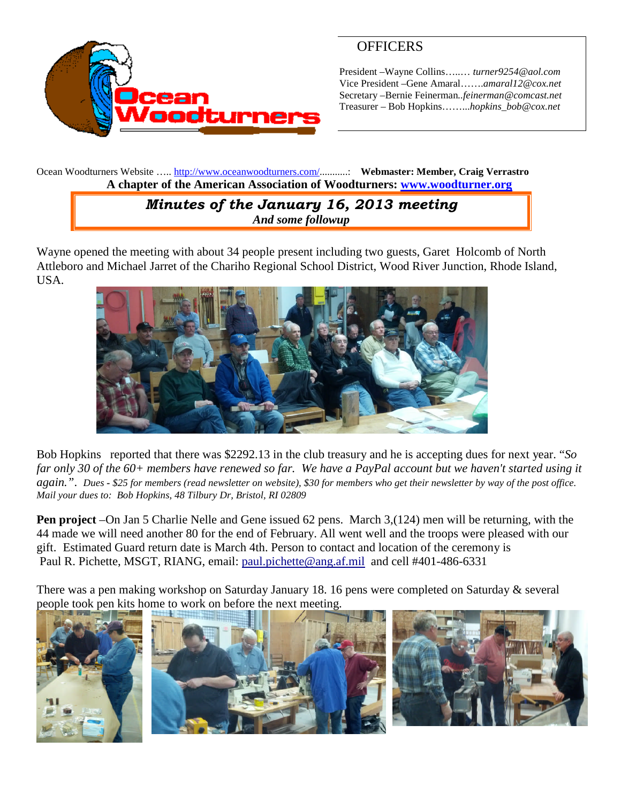

# **OFFICERS**

President –Wayne Collins…..… *turner9254@aol.com* Vice President –Gene Amaral…….*amaral12@cox.net* Secretary –Bernie Feinerman*..feinerman@comcast.net* Treasurer – Bob Hopkins……...*hopkins\_bob@cox.net*

Ocean Woodturners Website ….. <http://www.oceanwoodturners.com/>...........: **Webmaster: Member, Craig Verrastro A chapter of the American Association of Woodturners: [www.woodturner.org](http://www.woodturner.org/)**

## *Minutes of the January 16, 2013 meeting And some followup*

Wayne opened the meeting with about 34 people present including two guests, Garet Holcomb of North Attleboro and Michael Jarret of the Chariho Regional School District, Wood River Junction, Rhode Island, USA.



Bob Hopkins reported that there was \$2292.13 in the club treasury and he is accepting dues for next year. "*So far only 30 of the 60+ members have renewed so far. We have a PayPal account but we haven't started using it again."*. *Dues - \$25 for members (read newsletter on website), \$30 for members who get their newsletter by way of the post office. Mail your dues to: Bob Hopkins, 48 Tilbury Dr, Bristol, RI 02809*

**Pen project** –On Jan 5 Charlie Nelle and Gene issued 62 pens. March 3,(124) men will be returning, with the 44 made we will need another 80 for the end of February. All went well and the troops were pleased with our gift. Estimated Guard return date is March 4th. Person to contact and location of the ceremony is Paul R. Pichette, MSGT, RIANG, email: [paul.pichette@ang.af.mil](mailto:paul.pichette@ang.af.mil) and cell #401-486-6331

There was a pen making workshop on Saturday January 18. 16 pens were completed on Saturday & several people took pen kits home to work on before the next meeting.

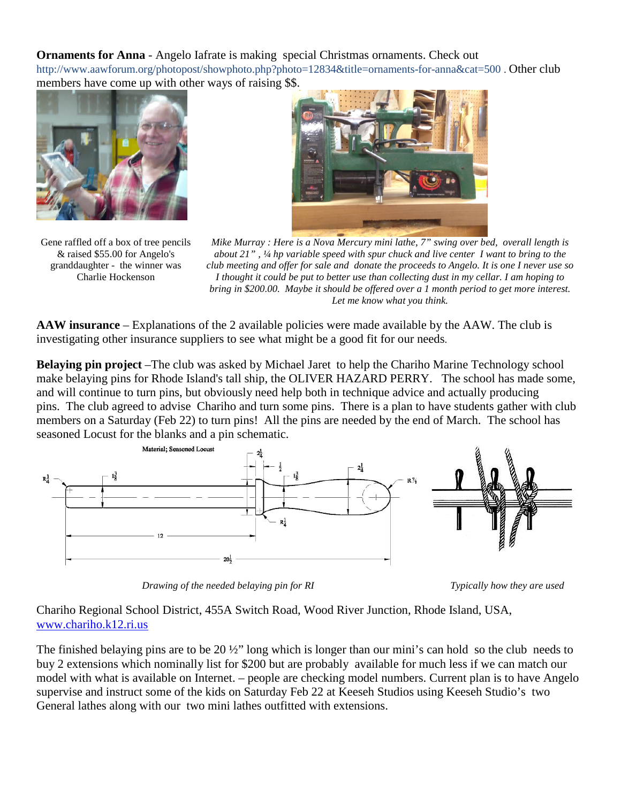**Ornaments for Anna** - Angelo Iafrate is making special Christmas ornaments. Check out http://www.aawforum.org/photopost/showphoto.php?photo=12834&title=ornaments-for-anna&cat=500 . Other club members have come up with other ways of raising \$\$.



Gene raffled off a box of tree pencils & raised \$55.00 for Angelo's granddaughter - the winner was Charlie Hockenson



*Mike Murray : Here is a Nova Mercury mini lathe, 7" swing over bed, overall length is about 21" , ¼ hp variable speed with spur chuck and live center I want to bring to the club meeting and offer for sale and donate the proceeds to Angelo. It is one I never use so I thought it could be put to better use than collecting dust in my cellar. I am hoping to bring in \$200.00. Maybe it should be offered over a 1 month period to get more interest. Let me know what you think.*

**AAW insurance** – Explanations of the 2 available policies were made available by the AAW. The club is investigating other insurance suppliers to see what might be a good fit for our needs.

**Belaying pin project** *–*The club was asked by Michael Jaret to help the Chariho Marine Technology school make belaying pins for Rhode Island's tall ship, the OLIVER HAZARD PERRY. The school has made some, and will continue to turn pins, but obviously need help both in technique advice and actually producing pins. The club agreed to advise Chariho and turn some pins. There is a plan to have students gather with club members on a Saturday (Feb 22) to turn pins! All the pins are needed by the end of March. The school has seasoned Locust for the blanks and a pin schematic.



*Drawing of the needed belaying pin for RI* Typically *I Typically how they are used* 

Chariho Regional School District, 455A Switch Road, Wood River Junction, Rhode Island, USA, [www.chariho.k12.ri.us](http://www.chariho.k12.ri.us/)

The finished belaying pins are to be 20  $\frac{1}{2}$  long which is longer than our mini's can hold so the club needs to buy 2 extensions which nominally list for \$200 but are probably available for much less if we can match our model with what is available on Internet. – people are checking model numbers. Current plan is to have Angelo supervise and instruct some of the kids on Saturday Feb 22 at Keeseh Studios using Keeseh Studio's two General lathes along with our two mini lathes outfitted with extensions.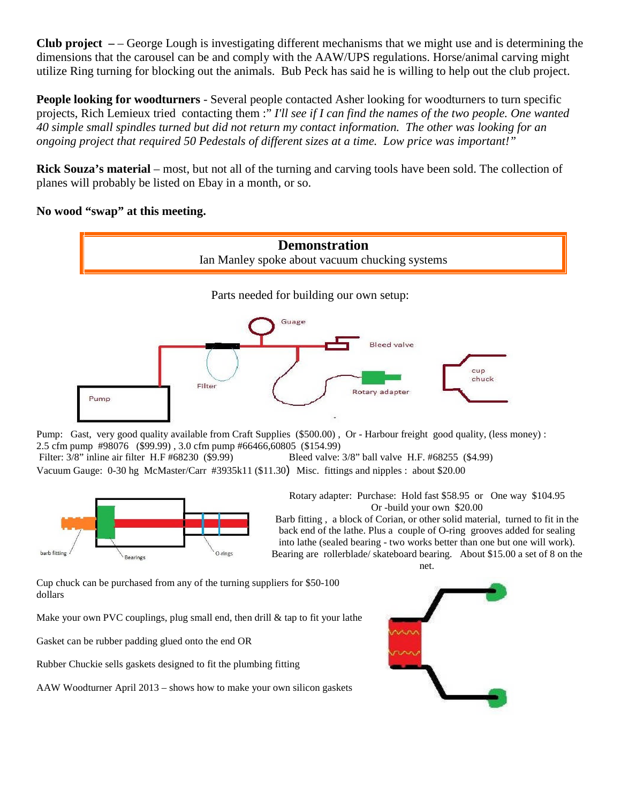**Club project –** – George Lough is investigating different mechanisms that we might use and is determining the dimensions that the carousel can be and comply with the AAW/UPS regulations. Horse/animal carving might utilize Ring turning for blocking out the animals. Bub Peck has said he is willing to help out the club project.

**People looking for woodturners** - Several people contacted Asher looking for woodturners to turn specific projects, Rich Lemieux tried contacting them :" *I'll see if I can find the names of the two people. One wanted 40 simple small spindles turned but did not return my contact information. The other was looking for an ongoing project that required 50 Pedestals of different sizes at a time. Low price was important!"*

**Rick Souza's material** – most, but not all of the turning and carving tools have been sold. The collection of planes will probably be listed on Ebay in a month, or so.

#### **No wood "swap" at this meeting.**



Pump: Gast, very good quality available from Craft Supplies (\$500.00) , Or - Harbour freight good quality, (less money) : 2.5 cfm pump #98076 (\$99.99) , 3.0 cfm pump #66466,60805 (\$154.99) Filter: 3/8" inline air filter H.F #68230 (\$9.99) Bleed valve: 3/8" ball valve H.F. #68255 (\$4.99) Vacuum Gauge: 0-30 hg McMaster/Carr #3935k11 (\$11.30) Misc. fittings and nipples : about \$20.00



Rotary adapter: Purchase: Hold fast \$58.95 or One way \$104.95 Or -build your own \$20.00

Barb fitting , a block of Corian, or other solid material, turned to fit in the back end of the lathe. Plus a couple of O-ring grooves added for sealing into lathe (sealed bearing - two works better than one but one will work). Bearing are rollerblade/ skateboard bearing. About \$15.00 a set of 8 on the

net.

Cup chuck can be purchased from any of the turning suppliers for \$50-100 dollars

Make your own PVC couplings, plug small end, then drill & tap to fit your lathe

Gasket can be rubber padding glued onto the end OR

Rubber Chuckie sells gaskets designed to fit the plumbing fitting

AAW Woodturner April 2013 – shows how to make your own silicon gaskets